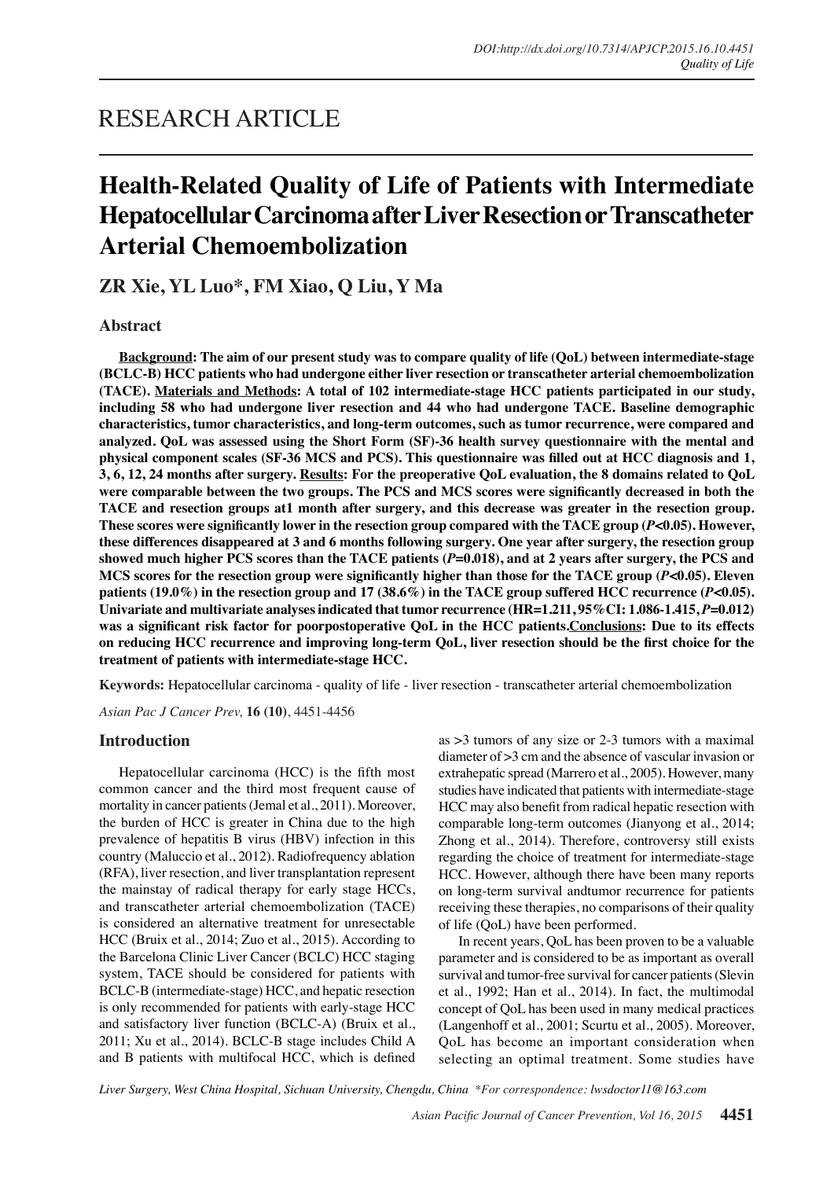# RESEARCH ARTICLE

# **Health-Related Quality of Life of Patients with Intermediate Hepatocellular Carcinoma after Liver Resection or Transcatheter Arterial Chemoembolization**

**ZR Xie, YL Luo\*, FM Xiao, Q Liu, Y Ma**

**Abstract**

**Background: The aim of our present study was to compare quality of life (QoL) between intermediate-stage (BCLC-B) HCC patients who had undergone either liver resection or transcatheter arterial chemoembolization (TACE). Materials and Methods: A total of 102 intermediate-stage HCC patients participated in our study, including 58 who had undergone liver resection and 44 who had undergone TACE. Baseline demographic characteristics, tumor characteristics, and long-term outcomes, such as tumor recurrence, were compared and analyzed. QoL was assessed using the Short Form (SF)-36 health survey questionnaire with the mental and physical component scales (SF-36 MCS and PCS). This questionnaire was filled out at HCC diagnosis and 1, 3, 6, 12, 24 months after surgery. Results: For the preoperative QoL evaluation, the 8 domains related to QoL were comparable between the two groups. The PCS and MCS scores were significantly decreased in both the TACE and resection groups at1 month after surgery, and this decrease was greater in the resection group. These scores were significantly lower in the resection group compared with the TACE group (***P***<0.05). However, these differences disappeared at 3 and 6 months following surgery. One year after surgery, the resection group showed much higher PCS scores than the TACE patients (***P***=0.018), and at 2 years after surgery, the PCS and MCS scores for the resection group were significantly higher than those for the TACE group (***P***<0.05). Eleven patients (19.0%) in the resection group and 17 (38.6%) in the TACE group suffered HCC recurrence (***P***<0.05). Univariate and multivariate analyses indicated that tumor recurrence (HR=1.211, 95%CI: 1.086-1.415,** *P***=0.012) was a significant risk factor for poorpostoperative QoL in the HCC patients.Conclusions: Due to its effects on reducing HCC recurrence and improving long-term QoL, liver resection should be the first choice for the treatment of patients with intermediate-stage HCC.**

**Keywords:** Hepatocellular carcinoma - quality of life - liver resection - transcatheter arterial chemoembolization

*Asian Pac J Cancer Prev,* **16 (10)**, 4451-4456

# **Introduction**

Hepatocellular carcinoma (HCC) is the fifth most common cancer and the third most frequent cause of mortality in cancer patients (Jemal et al., 2011). Moreover, the burden of HCC is greater in China due to the high prevalence of hepatitis B virus (HBV) infection in this country (Maluccio et al., 2012). Radiofrequency ablation (RFA), liver resection, and liver transplantation represent the mainstay of radical therapy for early stage HCCs, and transcatheter arterial chemoembolization (TACE) is considered an alternative treatment for unresectable HCC (Bruix et al., 2014; Zuo et al., 2015). According to the Barcelona Clinic Liver Cancer (BCLC) HCC staging system, TACE should be considered for patients with BCLC-B (intermediate-stage) HCC, and hepatic resection is only recommended for patients with early-stage HCC and satisfactory liver function (BCLC-A) (Bruix et al., 2011; Xu et al., 2014). BCLC-B stage includes Child A and B patients with multifocal HCC, which is defined

as >3 tumors of any size or 2-3 tumors with a maximal diameter of >3 cm and the absence of vascular invasion or extrahepatic spread (Marrero et al., 2005). However, many studies have indicated that patients with intermediate-stage HCC may also benefit from radical hepatic resection with comparable long-term outcomes (Jianyong et al., 2014; Zhong et al., 2014). Therefore, controversy still exists regarding the choice of treatment for intermediate-stage HCC. However, although there have been many reports on long-term survival andtumor recurrence for patients receiving these therapies, no comparisons of their quality of life (QoL) have been performed.

In recent years, QoL has been proven to be a valuable parameter and is considered to be as important as overall survival and tumor-free survival for cancer patients (Slevin et al., 1992; Han et al., 2014). In fact, the multimodal concept of QoL has been used in many medical practices (Langenhoff et al., 2001; Scurtu et al., 2005). Moreover, QoL has become an important consideration when selecting an optimal treatment. Some studies have

*Liver Surgery, West China Hospital, Sichuan University, Chengdu, China \*For correspondence: lwsdoctor11@163.com*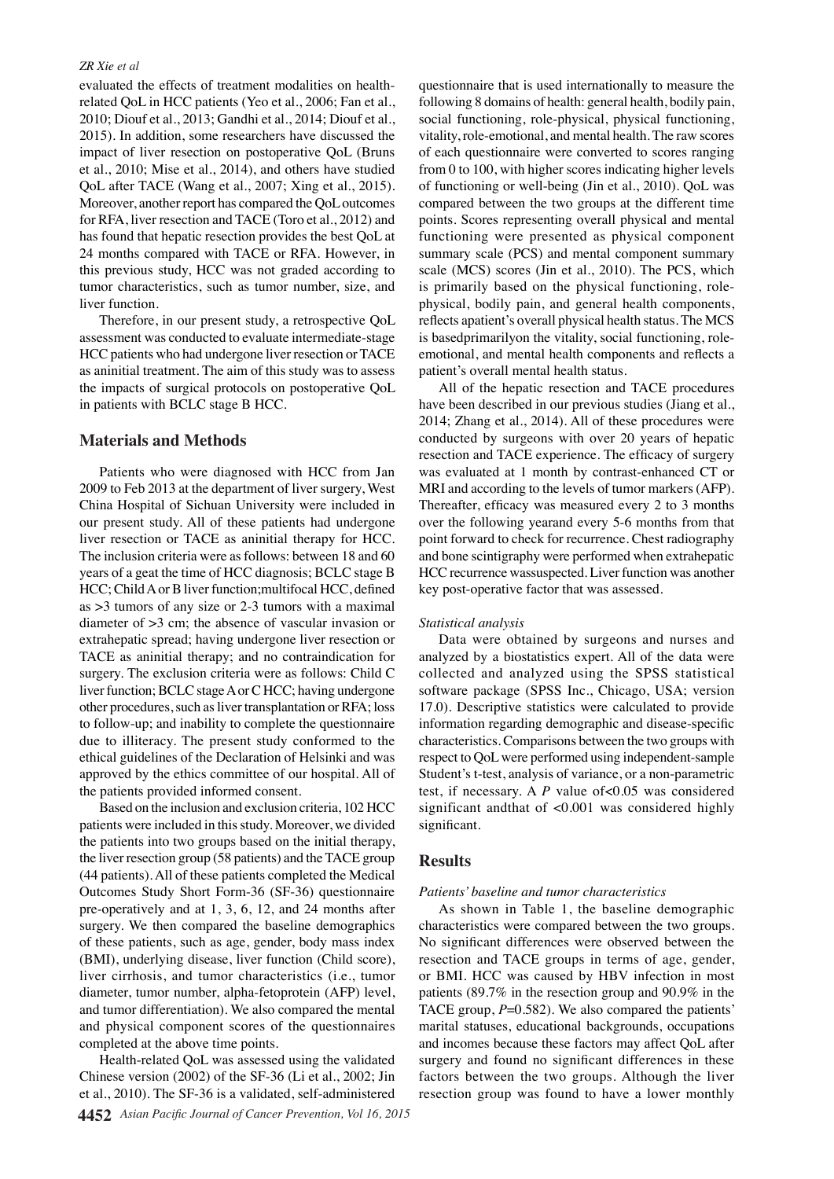#### *ZR Xie et al*

evaluated the effects of treatment modalities on healthrelated QoL in HCC patients (Yeo et al., 2006; Fan et al., 2010; Diouf et al., 2013; Gandhi et al., 2014; Diouf et al., 2015). In addition, some researchers have discussed the impact of liver resection on postoperative QoL (Bruns et al., 2010; Mise et al., 2014), and others have studied QoL after TACE (Wang et al., 2007; Xing et al., 2015). Moreover, another report has compared the QoL outcomes for RFA, liver resection and TACE (Toro et al., 2012) and has found that hepatic resection provides the best QoL at 24 months compared with TACE or RFA. However, in this previous study, HCC was not graded according to tumor characteristics, such as tumor number, size, and liver function.

Therefore, in our present study, a retrospective QoL assessment was conducted to evaluate intermediate-stage HCC patients who had undergone liver resection or TACE as aninitial treatment. The aim of this study was to assess the impacts of surgical protocols on postoperative QoL in patients with BCLC stage B HCC.

# **Materials and Methods**

Patients who were diagnosed with HCC from Jan 2009 to Feb 2013 at the department of liver surgery, West China Hospital of Sichuan University were included in our present study. All of these patients had undergone liver resection or TACE as aninitial therapy for HCC. The inclusion criteria were as follows: between 18 and 60 years of a geat the time of HCC diagnosis; BCLC stage B HCC; Child A or B liver function;multifocal HCC, defined as >3 tumors of any size or 2-3 tumors with a maximal diameter of >3 cm; the absence of vascular invasion or extrahepatic spread; having undergone liver resection or TACE as aninitial therapy; and no contraindication for surgery. The exclusion criteria were as follows: Child C liver function; BCLC stage A or C HCC; having undergone other procedures, such as liver transplantation or RFA; loss to follow-up; and inability to complete the questionnaire due to illiteracy. The present study conformed to the ethical guidelines of the Declaration of Helsinki and was approved by the ethics committee of our hospital. All of the patients provided informed consent.

Based on the inclusion and exclusion criteria, 102 HCC patients were included in this study. Moreover, we divided the patients into two groups based on the initial therapy, the liver resection group (58 patients) and the TACE group (44 patients). All of these patients completed the Medical Outcomes Study Short Form-36 (SF-36) questionnaire pre-operatively and at 1, 3, 6, 12, and 24 months after surgery. We then compared the baseline demographics of these patients, such as age, gender, body mass index (BMI), underlying disease, liver function (Child score), liver cirrhosis, and tumor characteristics (i.e., tumor diameter, tumor number, alpha-fetoprotein (AFP) level, and tumor differentiation). We also compared the mental and physical component scores of the questionnaires completed at the above time points.

Health-related QoL was assessed using the validated Chinese version (2002) of the SF-36 (Li et al., 2002; Jin et al., 2010). The SF-36 is a validated, self-administered

questionnaire that is used internationally to measure the following 8 domains of health: general health, bodily pain, social functioning, role-physical, physical functioning, vitality, role-emotional, and mental health. The raw scores of each questionnaire were converted to scores ranging from 0 to 100, with higher scores indicating higher levels of functioning or well-being (Jin et al., 2010). QoL was compared between the two groups at the different time points. Scores representing overall physical and mental functioning were presented as physical component summary scale (PCS) and mental component summary scale (MCS) scores (Jin et al., 2010). The PCS, which is primarily based on the physical functioning, rolephysical, bodily pain, and general health components, reflects apatient's overall physical health status. The MCS is basedprimarilyon the vitality, social functioning, roleemotional, and mental health components and reflects a patient's overall mental health status.

All of the hepatic resection and TACE procedures have been described in our previous studies (Jiang et al., 2014; Zhang et al., 2014). All of these procedures were conducted by surgeons with over 20 years of hepatic resection and TACE experience. The efficacy of surgery was evaluated at 1 month by contrast-enhanced CT or MRI and according to the levels of tumor markers (AFP). Thereafter, efficacy was measured every 2 to 3 months over the following yearand every 5-6 months from that point forward to check for recurrence. Chest radiography and bone scintigraphy were performed when extrahepatic HCC recurrence wassuspected. Liver function was another key post-operative factor that was assessed.

#### *Statistical analysis*

Data were obtained by surgeons and nurses and analyzed by a biostatistics expert. All of the data were collected and analyzed using the SPSS statistical software package (SPSS Inc., Chicago, USA; version 17.0). Descriptive statistics were calculated to provide information regarding demographic and disease-specific characteristics. Comparisons between the two groups with respect to QoL were performed using independent-sample Student's t-test, analysis of variance, or a non-parametric test, if necessary. A *P* value of<0.05 was considered significant andthat of <0.001 was considered highly significant.

### **Results**

#### *Patients' baseline and tumor characteristics*

As shown in Table 1, the baseline demographic characteristics were compared between the two groups. No significant differences were observed between the resection and TACE groups in terms of age, gender, or BMI. HCC was caused by HBV infection in most patients (89.7% in the resection group and 90.9% in the TACE group,  $P=0.582$ ). We also compared the patients' marital statuses, educational backgrounds, occupations and incomes because these factors may affect QoL after surgery and found no significant differences in these factors between the two groups. Although the liver resection group was found to have a lower monthly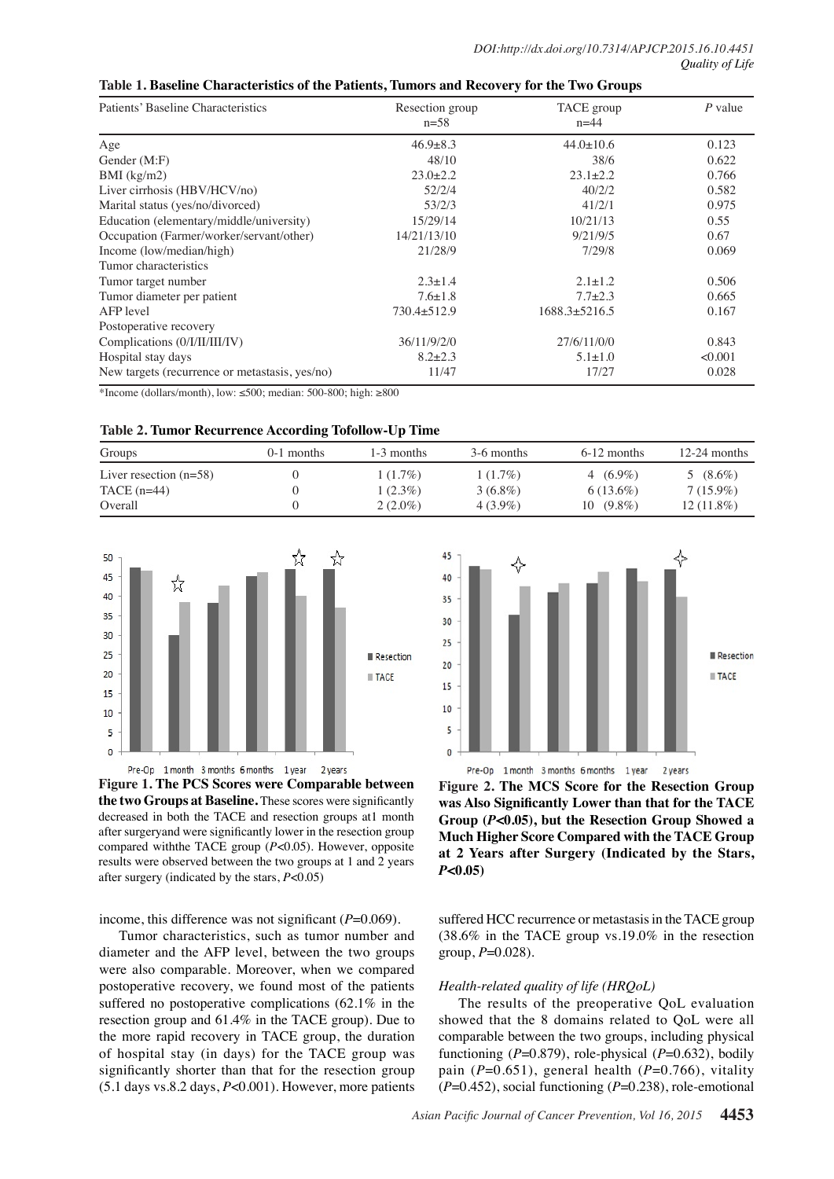# **Table 1. Baseline Characteristics of the Patients, Tumors and Recovery for the Two Groups**

| Patients' Baseline Characteristics             | Resection group<br>$n=58$ | TACE group<br>$n = 44$ | P value<br>0.123 |  |
|------------------------------------------------|---------------------------|------------------------|------------------|--|
| Age                                            | $46.9 \pm 8.3$            | $44.0 \pm 10.6$        |                  |  |
| Gender (M:F)                                   | 48/10                     | 38/6                   | 0.622            |  |
| $BMI$ (kg/m2)                                  | $23.0 \pm 2.2$            | $23.1 \pm 2.2$         | 0.766            |  |
| Liver cirrhosis (HBV/HCV/no)                   | 52/2/4                    | 40/2/2                 | 0.582            |  |
| Marital status (yes/no/divorced)               | 53/2/3                    | 41/2/1                 | 0.975            |  |
| Education (elementary/middle/university)       | 15/29/14                  | 10/21/13               | 0.55             |  |
| Occupation (Farmer/worker/servant/other)       | 14/21/13/10               | 9/21/9/5               | 0.67             |  |
| Income (low/median/high)                       | 21/28/9                   | 7/29/8                 | 0.069            |  |
| Tumor characteristics                          |                           |                        |                  |  |
| Tumor target number                            | $2.3 \pm 1.4$             | $2.1 \pm 1.2$          | 0.506            |  |
| Tumor diameter per patient                     | $7.6 \pm 1.8$             | $7.7 + 2.3$            | 0.665            |  |
| AFP level                                      | 730.4±512.9               | $1688.3 \pm 5216.5$    | 0.167            |  |
| Postoperative recovery                         |                           |                        |                  |  |
| Complications (0/I/II/III/IV)                  | 36/11/9/2/0               | 27/6/11/0/0            | 0.843            |  |
| Hospital stay days                             | $8.2 \pm 2.3$             | $5.1 \pm 1.0$          | <0.001           |  |
| New targets (recurrence or metastasis, yes/no) | 11/47                     | 17/27                  | 0.028            |  |

\*Income (dollars/month), low:  $\leq 500$ ; median: 500-800; high:  $\geq 800$ 

| Groups                   | $0-1$ months | 1-3 months | 3-6 months | $6-12$ months | $12-24$ months |
|--------------------------|--------------|------------|------------|---------------|----------------|
| Liver resection $(n=58)$ |              | $1(1.7\%)$ | $1(1.7\%)$ | 4 $(6.9\%)$   | 5 $(8.6\%)$    |
| $TACE$ (n=44)            |              | $1(2.3\%)$ | $3(6.8\%)$ | $6(13.6\%)$   | $7(15.9\%)$    |
| Overall                  |              | $2(2.0\%)$ | $4(3.9\%)$ | $10(9.8\%)$   | $12(11.8\%)$   |



Pre-Op 1 month 3 months 6 months 1 year 2 years **Figure 1. The PCS Scores were Comparable between the two Groups at Baseline.** These scores were significantly decreased in both the TACE and resection groups at1 month after surgeryand were significantly lower in the resection group compared withthe TACE group (*P*<0.05). However, opposite results were observed between the two groups at 1 and 2 years after surgery (indicated by the stars, *P*<0.05)

income, this difference was not significant ( $P=0.069$ ).

Tumor characteristics, such as tumor number and diameter and the AFP level, between the two groups were also comparable. Moreover, when we compared postoperative recovery, we found most of the patients suffered no postoperative complications (62.1% in the resection group and 61.4% in the TACE group). Due to the more rapid recovery in TACE group, the duration of hospital stay (in days) for the TACE group was significantly shorter than that for the resection group (5.1 days vs.8.2 days, *P*<0.001). However, more patients



Pre-Op 1 month 3 months 6 months 1 year 2 years

**Figure 2. The MCS Score for the Resection Group was Also Significantly Lower than that for the TACE Group (***P***<0.05), but the Resection Group Showed a Much Higher Score Compared with the TACE Group at 2 Years after Surgery (Indicated by the Stars,**  *P***<0.05)**

suffered HCC recurrence or metastasis in the TACE group (38.6% in the TACE group vs.19.0% in the resection group,  $P=0.028$ ).

# *Health-related quality of life (HRQoL)*

The results of the preoperative QoL evaluation showed that the 8 domains related to QoL were all comparable between the two groups, including physical functioning  $(P=0.879)$ , role-physical  $(P=0.632)$ , bodily pain  $(P=0.651)$ , general health  $(P=0.766)$ , vitality (*P*=0.452), social functioning (*P*=0.238), role-emotional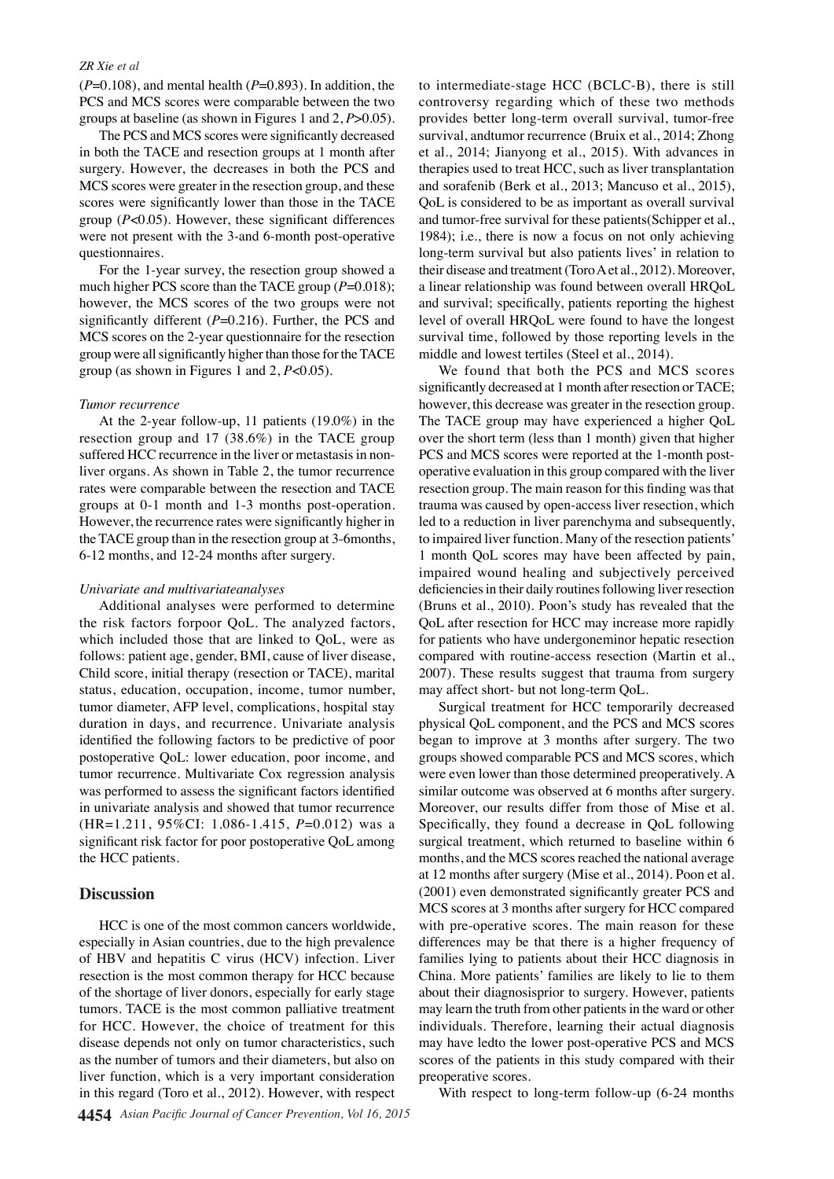### *ZR Xie et al*

 $(P=0.108)$ , and mental health  $(P=0.893)$ . In addition, the PCS and MCS scores were comparable between the two groups at baseline (as shown in Figures 1 and 2, *P*>0.05).

The PCS and MCS scores were significantly decreased in both the TACE and resection groups at 1 month after surgery. However, the decreases in both the PCS and MCS scores were greater in the resection group, and these scores were significantly lower than those in the TACE group (*P*<0.05). However, these significant differences were not present with the 3-and 6-month post-operative questionnaires.

For the 1-year survey, the resection group showed a much higher PCS score than the TACE group ( $P=0.018$ ); however, the MCS scores of the two groups were not significantly different ( $P=0.216$ ). Further, the PCS and MCS scores on the 2-year questionnaire for the resection group were all significantly higher than those for the TACE group (as shown in Figures 1 and 2, *P*<0.05).

# *Tumor recurrence*

At the 2-year follow-up, 11 patients (19.0%) in the resection group and 17 (38.6%) in the TACE group suffered HCC recurrence in the liver or metastasis in nonliver organs. As shown in Table 2, the tumor recurrence rates were comparable between the resection and TACE groups at 0-1 month and 1-3 months post-operation. However, the recurrence rates were significantly higher in the TACE group than in the resection group at 3-6months, 6-12 months, and 12-24 months after surgery.

# *Univariate and multivariateanalyses*

Additional analyses were performed to determine the risk factors forpoor QoL. The analyzed factors, which included those that are linked to QoL, were as follows: patient age, gender, BMI, cause of liver disease, Child score, initial therapy (resection or TACE), marital status, education, occupation, income, tumor number, tumor diameter, AFP level, complications, hospital stay duration in days, and recurrence. Univariate analysis identified the following factors to be predictive of poor postoperative QoL: lower education, poor income, and tumor recurrence. Multivariate Cox regression analysis was performed to assess the significant factors identified in univariate analysis and showed that tumor recurrence (HR=1.211, 95%CI: 1.086-1.415, *P*=0.012) was a significant risk factor for poor postoperative QoL among the HCC patients.

# **Discussion**

HCC is one of the most common cancers worldwide, especially in Asian countries, due to the high prevalence of HBV and hepatitis C virus (HCV) infection. Liver resection is the most common therapy for HCC because of the shortage of liver donors, especially for early stage tumors. TACE is the most common palliative treatment for HCC. However, the choice of treatment for this disease depends not only on tumor characteristics, such as the number of tumors and their diameters, but also on liver function, which is a very important consideration in this regard (Toro et al., 2012). However, with respect

to intermediate-stage HCC (BCLC-B), there is still controversy regarding which of these two methods provides better long-term overall survival, tumor-free survival, andtumor recurrence (Bruix et al., 2014; Zhong et al., 2014; Jianyong et al., 2015). With advances in therapies used to treat HCC, such as liver transplantation and sorafenib (Berk et al., 2013; Mancuso et al., 2015), QoL is considered to be as important as overall survival and tumor-free survival for these patients(Schipper et al., 1984); i.e., there is now a focus on not only achieving long-term survival but also patients lives' in relation to their disease and treatment (Toro A et al., 2012). Moreover, a linear relationship was found between overall HRQoL and survival; specifically, patients reporting the highest level of overall HRQoL were found to have the longest survival time, followed by those reporting levels in the middle and lowest tertiles (Steel et al., 2014).

We found that both the PCS and MCS scores significantly decreased at 1 month after resection or TACE; however, this decrease was greater in the resection group. The TACE group may have experienced a higher QoL over the short term (less than 1 month) given that higher PCS and MCS scores were reported at the 1-month postoperative evaluation in this group compared with the liver resection group. The main reason for this finding was that trauma was caused by open-access liver resection, which led to a reduction in liver parenchyma and subsequently, to impaired liver function. Many of the resection patients' 1 month QoL scores may have been affected by pain, impaired wound healing and subjectively perceived deficiencies in their daily routines following liver resection (Bruns et al., 2010). Poon's study has revealed that the QoL after resection for HCC may increase more rapidly for patients who have undergoneminor hepatic resection compared with routine-access resection (Martin et al., 2007). These results suggest that trauma from surgery may affect short- but not long-term QoL.

Surgical treatment for HCC temporarily decreased physical QoL component, and the PCS and MCS scores began to improve at 3 months after surgery. The two groups showed comparable PCS and MCS scores, which were even lower than those determined preoperatively. A similar outcome was observed at 6 months after surgery. Moreover, our results differ from those of Mise et al. Specifically, they found a decrease in QoL following surgical treatment, which returned to baseline within 6 months, and the MCS scores reached the national average at 12 months after surgery (Mise et al., 2014). Poon et al. (2001) even demonstrated significantly greater PCS and MCS scores at 3 months after surgery for HCC compared with pre-operative scores. The main reason for these differences may be that there is a higher frequency of families lying to patients about their HCC diagnosis in China. More patients' families are likely to lie to them about their diagnosisprior to surgery. However, patients may learn the truth from other patients in the ward or other individuals. Therefore, learning their actual diagnosis may have ledto the lower post-operative PCS and MCS scores of the patients in this study compared with their preoperative scores.

With respect to long-term follow-up (6-24 months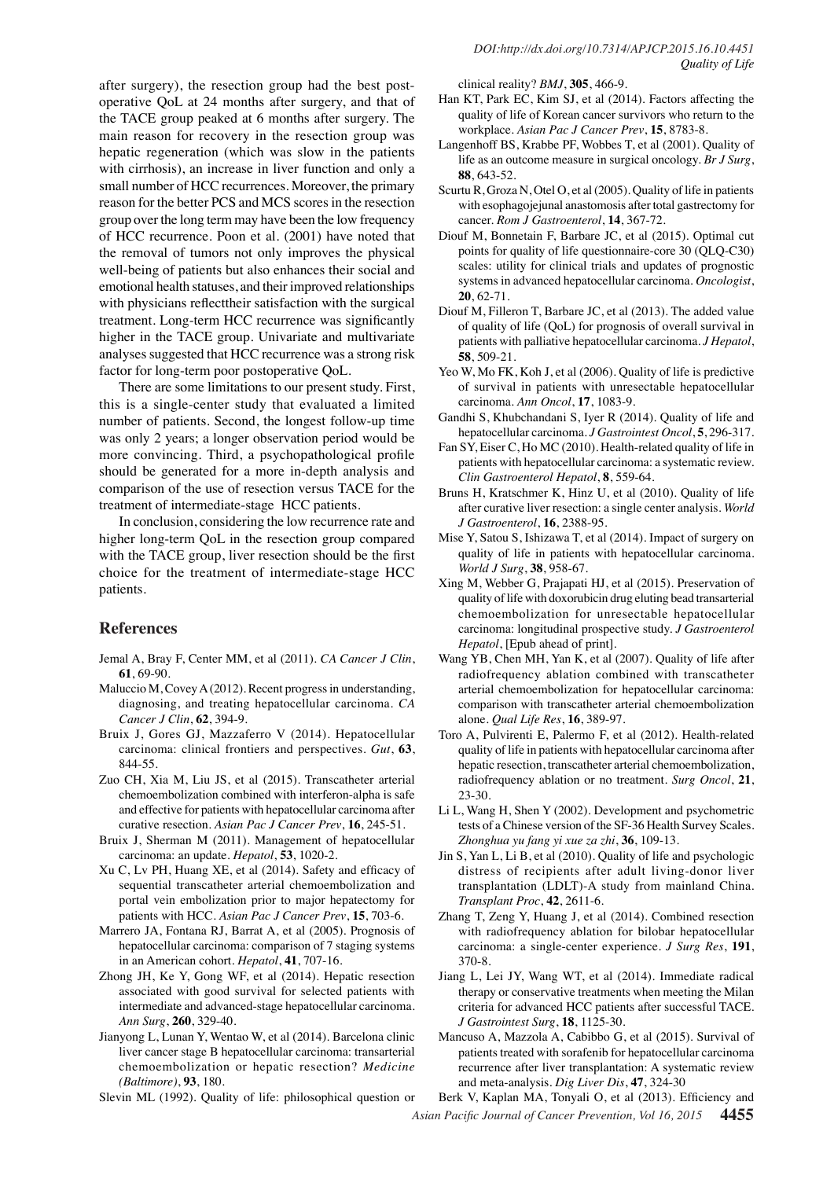after surgery), the resection group had the best postoperative QoL at 24 months after surgery, and that of the TACE group peaked at 6 months after surgery. The main reason for recovery in the resection group was hepatic regeneration (which was slow in the patients with cirrhosis), an increase in liver function and only a small number of HCC recurrences. Moreover, the primary reason for the better PCS and MCS scores in the resection group over the long term may have been the low frequency of HCC recurrence. Poon et al. (2001) have noted that the removal of tumors not only improves the physical well-being of patients but also enhances their social and emotional health statuses, and their improved relationships with physicians reflecttheir satisfaction with the surgical treatment. Long-term HCC recurrence was significantly higher in the TACE group. Univariate and multivariate analyses suggested that HCC recurrence was a strong risk factor for long-term poor postoperative QoL.

There are some limitations to our present study. First, this is a single-center study that evaluated a limited number of patients. Second, the longest follow-up time was only 2 years; a longer observation period would be more convincing. Third, a psychopathological profile should be generated for a more in-depth analysis and comparison of the use of resection versus TACE for the treatment of intermediate-stage HCC patients.

In conclusion, considering the low recurrence rate and higher long-term QoL in the resection group compared with the TACE group, liver resection should be the first choice for the treatment of intermediate-stage HCC patients.

# **References**

- Jemal A, Bray F, Center MM, et al (2011). *CA Cancer J Clin*, **61**, 69-90.
- Maluccio M, Covey A (2012). Recent progress in understanding, diagnosing, and treating hepatocellular carcinoma. *CA Cancer J Clin*, **62**, 394-9.
- Bruix J, Gores GJ, Mazzaferro V (2014). Hepatocellular carcinoma: clinical frontiers and perspectives. *Gut*, **63**, 844-55.
- Zuo CH, Xia M, Liu JS, et al (2015). Transcatheter arterial chemoembolization combined with interferon-alpha is safe and effective for patients with hepatocellular carcinoma after curative resection. *Asian Pac J Cancer Prev*, **16**, 245-51.
- Bruix J, Sherman M (2011). Management of hepatocellular carcinoma: an update. *Hepatol*, **53**, 1020-2.
- Xu C, Lv PH, Huang XE, et al (2014). Safety and efficacy of sequential transcatheter arterial chemoembolization and portal vein embolization prior to major hepatectomy for patients with HCC. *Asian Pac J Cancer Prev*, **15**, 703-6.
- Marrero JA, Fontana RJ, Barrat A, et al (2005). Prognosis of hepatocellular carcinoma: comparison of 7 staging systems in an American cohort. *Hepatol*, **41**, 707-16.
- Zhong JH, Ke Y, Gong WF, et al (2014). Hepatic resection associated with good survival for selected patients with intermediate and advanced-stage hepatocellular carcinoma. *Ann Surg*, **260**, 329-40.
- Jianyong L, Lunan Y, Wentao W, et al (2014). Barcelona clinic liver cancer stage B hepatocellular carcinoma: transarterial chemoembolization or hepatic resection? *Medicine (Baltimore)*, **93**, 180.

Slevin ML (1992). Quality of life: philosophical question or

clinical reality? *BMJ*, **305**, 466-9.

- Han KT, Park EC, Kim SJ, et al (2014). Factors affecting the quality of life of Korean cancer survivors who return to the workplace. *Asian Pac J Cancer Prev*, **15**, 8783-8.
- Langenhoff BS, Krabbe PF, Wobbes T, et al (2001). Quality of life as an outcome measure in surgical oncology. *Br J Surg*, **88**, 643-52.
- Scurtu R, Groza N, Otel O, et al (2005). Quality of life in patients with esophagojejunal anastomosis after total gastrectomy for cancer. *Rom J Gastroenterol*, **14**, 367-72.
- Diouf M, Bonnetain F, Barbare JC, et al (2015). Optimal cut points for quality of life questionnaire-core 30 (QLQ-C30) scales: utility for clinical trials and updates of prognostic systems in advanced hepatocellular carcinoma. *Oncologist*, **20**, 62-71.
- Diouf M, Filleron T, Barbare JC, et al (2013). The added value of quality of life (QoL) for prognosis of overall survival in patients with palliative hepatocellular carcinoma. *J Hepatol*, **58**, 509-21.
- Yeo W, Mo FK, Koh J, et al (2006). Quality of life is predictive of survival in patients with unresectable hepatocellular carcinoma. *Ann Oncol*, **17**, 1083-9.
- Gandhi S, Khubchandani S, Iyer R (2014). Quality of life and hepatocellular carcinoma. *J Gastrointest Oncol*, **5**, 296-317.
- Fan SY, Eiser C, Ho MC (2010). Health-related quality of life in patients with hepatocellular carcinoma: a systematic review. *Clin Gastroenterol Hepatol*, **8**, 559-64.
- Bruns H, Kratschmer K, Hinz U, et al (2010). Quality of life after curative liver resection: a single center analysis. *World J Gastroenterol*, **16**, 2388-95.
- Mise Y, Satou S, Ishizawa T, et al (2014). Impact of surgery on quality of life in patients with hepatocellular carcinoma. *World J Surg*, **38**, 958-67.
- Xing M, Webber G, Prajapati HJ, et al (2015). Preservation of quality of life with doxorubicin drug eluting bead transarterial chemoembolization for unresectable hepatocellular carcinoma: longitudinal prospective study. *J Gastroenterol Hepatol*, [Epub ahead of print].
- Wang YB, Chen MH, Yan K, et al (2007). Quality of life after radiofrequency ablation combined with transcatheter arterial chemoembolization for hepatocellular carcinoma: comparison with transcatheter arterial chemoembolization alone. *Qual Life Res*, **16**, 389-97.
- Toro A, Pulvirenti E, Palermo F, et al (2012). Health-related quality of life in patients with hepatocellular carcinoma after hepatic resection, transcatheter arterial chemoembolization, radiofrequency ablation or no treatment. *Surg Oncol*, **21**, 23-30.
- Li L, Wang H, Shen Y (2002). Development and psychometric tests of a Chinese version of the SF-36 Health Survey Scales. *Zhonghua yu fang yi xue za zhi*, **36**, 109-13.
- Jin S, Yan L, Li B, et al (2010). Quality of life and psychologic distress of recipients after adult living-donor liver transplantation (LDLT)-A study from mainland China. *Transplant Proc*, **42**, 2611-6.
- Zhang T, Zeng Y, Huang J, et al (2014). Combined resection with radiofrequency ablation for bilobar hepatocellular carcinoma: a single-center experience. *J Surg Res*, **191**, 370-8.
- Jiang L, Lei JY, Wang WT, et al (2014). Immediate radical therapy or conservative treatments when meeting the Milan criteria for advanced HCC patients after successful TACE. *J Gastrointest Surg*, **18**, 1125-30.
- Mancuso A, Mazzola A, Cabibbo G, et al (2015). Survival of patients treated with sorafenib for hepatocellular carcinoma recurrence after liver transplantation: A systematic review and meta-analysis. *Dig Liver Dis*, **47**, 324-30

*Asian Pacific Journal of Cancer Prevention, Vol 16, 2015* **4455** Berk V, Kaplan MA, Tonyali O, et al (2013). Efficiency and